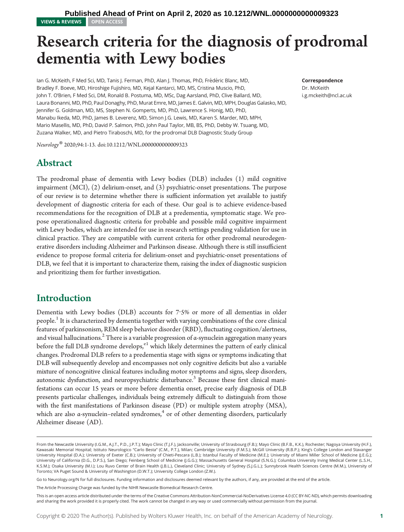# Research criteria for the diagnosis of prodromal dementia with Lewy bodies

Ian G. McKeith, F Med Sci, MD, Tanis J. Ferman, PhD, Alan J. Thomas, PhD, Frédéric Blanc, MD, Bradley F. Boeve, MD, Hiroshige Fujishiro, MD, Kejal Kantarci, MD, MS, Cristina Muscio, PhD, John T. O'Brien, F Med Sci, DM, Ronald B. Postuma, MD, MSc, Dag Aarsland, PhD, Clive Ballard, MD, Laura Bonanni, MD, PhD, Paul Donaghy, PhD, Murat Emre, MD, James E. Galvin, MD, MPH, Douglas Galasko, MD, Jennifer G. Goldman, MD, MS, Stephen N. Gomperts, MD, PhD, Lawrence S. Honig, MD, PhD, Manabu Ikeda, MD, PhD, James B. Leverenz, MD, Simon J.G. Lewis, MD, Karen S. Marder, MD, MPH, Mario Masellis, MD, PhD, David P. Salmon, PhD, John Paul Taylor, MB, BS, PhD, Debby W. Tsuang, MD, Zuzana Walker, MD, and Pietro Tiraboschi, MD, for the prodromal DLB Diagnostic Study Group

Neurology® 2020;94:1-13. doi:[10.1212/WNL.0000000000009323](http://dx.doi.org/10.1212/WNL.0000000000009323)

## Abstract

The prodromal phase of dementia with Lewy bodies (DLB) includes (1) mild cognitive impairment (MCI), (2) delirium-onset, and (3) psychiatric-onset presentations. The purpose of our review is to determine whether there is sufficient information yet available to justify development of diagnostic criteria for each of these. Our goal is to achieve evidence-based recommendations for the recognition of DLB at a predementia, symptomatic stage. We propose operationalized diagnostic criteria for probable and possible mild cognitive impairment with Lewy bodies, which are intended for use in research settings pending validation for use in clinical practice. They are compatible with current criteria for other prodromal neurodegenerative disorders including Alzheimer and Parkinson disease. Although there is still insufficient evidence to propose formal criteria for delirium-onset and psychiatric-onset presentations of DLB, we feel that it is important to characterize them, raising the index of diagnostic suspicion and prioritizing them for further investigation.

# **Introduction**

Dementia with Lewy bodies (DLB) accounts for 7·5% or more of all dementias in older people.<sup>1</sup> It is characterized by dementia together with varying combinations of the core clinical features of parkinsonism, REM sleep behavior disorder (RBD), fluctuating cognition/alertness, and visual hallucinations.<sup>2</sup> There is a variable progression of  $\alpha$ -synuclein aggregation many years before the full DLB syndrome develops, $e^1$  which likely determines the pattern of early clinical changes. Prodromal DLB refers to a predementia stage with signs or symptoms indicating that DLB will subsequently develop and encompasses not only cognitive deficits but also a variable mixture of noncognitive clinical features including motor symptoms and signs, sleep disorders, autonomic dysfunction, and neuropsychiatric disturbance.<sup>3</sup> Because these first clinical manifestations can occur 15 years or more before dementia onset, precise early diagnosis of DLB presents particular challenges, individuals being extremely difficult to distinguish from those with the first manifestations of Parkinson disease (PD) or multiple system atrophy (MSA), which are also  $\alpha$ -synuclein–related syndromes,<sup>4</sup> or of other dementing disorders, particularly Alzheimer disease (AD).

Correspondence Dr. McKeith [i.g.mckeith@ncl.ac.uk](mailto:i.g.mckeith@ncl.ac.uk)

From the Newcastle University (I.G.M., A.J.T., P.D., J.P.T.); Mayo Clinic (T.J.F.), Jacksonville; University of Strasbourg (F.B.); Mayo Clinic (B.F.B., K.K.), Rochester; Nagoya University (H.F.), Kawasaki Memorial Hospital; Istituto Neurologico "Carlo Besta" (C.M., P.T.), Milan; Cambridge University (F.M.S.); McGill University (R.B.P.); King's College London and Stavanger University Hospital (D.A.); University of Exeter (C.B.); University of Chieti-Pescara (L.B.); Istanbul Faculty of Medicine (M.E.); University of Miami Miller School of Medicine (J.E.G.); University of California (D.G., D.P.S.), San Diego; Feinberg School of Medicine (J.G.G.); Massachusetts General Hospital (S.N.G.); Columbia University Irving Medical Center (L.S.H., K.S.M.); Osaka University (M.I.); Lou Ruvo Center of Brain Health (J.B.L.), Cleveland Clinic; University of Sydney (S.J.G.L.); Sunnybrook Health Sciences Centre (M.M.), University of Toronto; VA Puget Sound & University of Washington (D.W.T.); University College London (Z.W.).

Go to [Neurology.org/N](https://n.neurology.org/lookup/doi/10.1212/WNL.0000000000009323) for full disclosures. Funding information and disclosures deemed relevant by the authors, if any, are provided at the end of the article.

The Article Processing Charge was funded by the NIHR Newcastle Biomedical Research Centre.

This is an open access article distributed under the terms of the [Creative Commons Attribution-NonCommercial-NoDerivatives License 4.0 \(CC BY-NC-ND\),](http://creativecommons.org/licenses/by-nc-nd/4.0/) which permits downloading and sharing the work provided it is properly cited. The work cannot be changed in any way or used commercially without permission from the journal.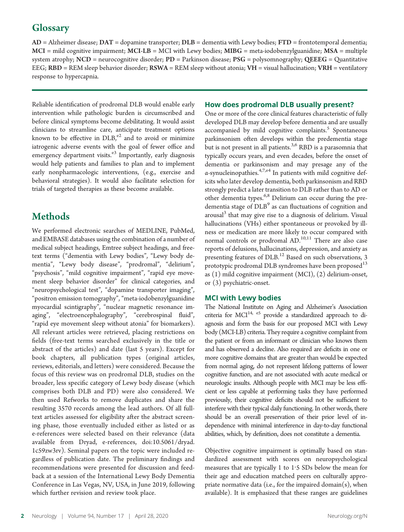# **Glossary**

 $AD = Alzheimer$  disease;  $DAT = dopamine$  transporter;  $DLB =$  dementia with Lewy bodies;  $FTP =$  frontotemporal dementia;  $MCI$  = mild cognitive impairment;  $MCI-LB = MCI$  with Lewy bodies;  $MIBG =$  meta-iodobenzylguanidine;  $MSA =$  multiple system atrophy;  $NCD$  = neurocognitive disorder;  $PD$  = Parkinson disease;  $PSG$  = polysomnography;  $QEEEG$  = Quantitative EEG; RBD = REM sleep behavior disorder; RSWA = REM sleep without atonia; VH = visual hallucination; VRH = ventilatory response to hypercapnia.

Reliable identification of prodromal DLB would enable early intervention while pathologic burden is circumscribed and before clinical symptoms become debilitating. It would assist clinicians to streamline care, anticipate treatment options known to be effective in  $DLB<sub>1</sub><sup>e2</sup>$  and to avoid or minimize iatrogenic adverse events with the goal of fewer office and emergency department visits.<sup>e3</sup> Importantly, early diagnosis would help patients and families to plan and to implement early nonpharmacologic interventions, (e.g., exercise and behavioral strategies). It would also facilitate selection for trials of targeted therapies as these become available.

# Methods

We performed electronic searches of MEDLINE, PubMed, and EMBASE databases using the combination of a number of medical subject headings, Emtree subject headings, and freetext terms ("dementia with Lewy bodies", "Lewy body dementia", "Lewy body disease", "prodromal", "delirium", "psychosis", "mild cognitive impairment", "rapid eye movement sleep behavior disorder" for clinical categories, and "neuropsychological test", "dopamine transporter imaging", "positron emission tomography", "meta-iodobenzylguanidine myocardial scintigraphy", "nuclear magnetic resonance imaging", "electroencephalography", "cerebrospinal fluid", "rapid eye movement sleep without atonia" for biomarkers). All relevant articles were retrieved, placing restrictions on fields (free-text terms searched exclusively in the title or abstract of the articles) and date (last 5 years). Except for book chapters, all publication types (original articles, reviews, editorials, and letters) were considered. Because the focus of this review was on prodromal DLB, studies on the broader, less specific category of Lewy body disease (which comprises both DLB and PD) were also considered. We then used Refworks to remove duplicates and share the resulting 3570 records among the lead authors. Of all fulltext articles assessed for eligibility after the abstract screening phase, those eventually included either as listed or as e-references were selected based on their relevance (data available from Dryad, e-references, [doi:10.5061/dryad.](https://doi:10.5061/dryad.1c59zw3rv) [1c59zw3rv](https://doi:10.5061/dryad.1c59zw3rv)). Seminal papers on the topic were included regardless of publication date. The preliminary findings and recommendations were presented for discussion and feedback at a session of the International Lewy Body Dementia Conference in Las Vegas, NV, USA, in June 2019, following which further revision and review took place.

#### How does prodromal DLB usually present?

One or more of the core clinical features characteristic of fully developed DLB may develop before dementia and are usually accompanied by mild cognitive complaints.<sup>5</sup> Spontaneous parkinsonism often develops within the predementia stage but is not present in all patients.<sup>3,6</sup> RBD is a parasomnia that typically occurs years, and even decades, before the onset of dementia or parkinsonism and may presage any of the  $\alpha$ -synucleinopathies.<sup>4,7,e4</sup> In patients with mild cognitive deficits who later develop dementia, both parkinsonism and RBD strongly predict a later transition to DLB rather than to AD or other dementia types.<sup>6,8</sup> Delirium can occur during the predementia stage of DLB<sup>9</sup> as can fluctuations of cognition and arousal $3$  that may give rise to a diagnosis of delirium. Visual hallucinations (VHs) either spontaneous or provoked by illness or medication are more likely to occur compared with normal controls or prodromal AD.<sup>10,11</sup> There are also case reports of delusions, hallucinations, depression, and anxiety as presenting features of DLB.<sup>12</sup> Based on such observations, 3 prototypic prodromal DLB syndromes have been proposed<sup>13</sup> as (1) mild cognitive impairment (MCI), (2) delirium-onset, or (3) psychiatric-onset.

#### MCI with Lewy bodies

The National Institute on Aging and Alzheimer's Association criteria for MCI<sup>14, e5</sup> provide a standardized approach to diagnosis and form the basis for our proposed MCI with Lewy body (MCI-LB) criteria. They require a cognitive complaint from the patient or from an informant or clinician who knows them and has observed a decline. Also required are deficits in one or more cognitive domains that are greater than would be expected from normal aging, do not represent lifelong patterns of lower cognitive function, and are not associated with acute medical or neurologic insults. Although people with MCI may be less efficient or less capable at performing tasks they have performed previously, their cognitive deficits should not be sufficient to interfere with their typical daily functioning. In other words, there should be an overall preservation of their prior level of independence with minimal interference in day-to-day functional abilities, which, by definition, does not constitute a dementia.

Objective cognitive impairment is optimally based on standardized assessment with scores on neuropsychological measures that are typically 1 to 1·5 SDs below the mean for their age and education matched peers on culturally appropriate normative data (i.e., for the impaired domain(s), when available). It is emphasized that these ranges are guidelines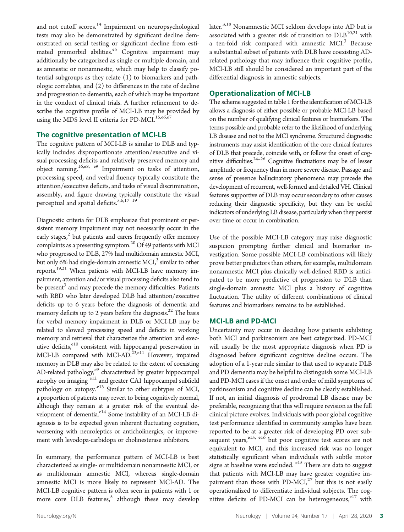and not cutoff scores.<sup>14</sup> Impairment on neuropsychological tests may also be demonstrated by significant decline demonstrated on serial testing or significant decline from estimated premorbid abilities.<sup>e5</sup> Cognitive impairment may additionally be categorized as single or multiple domain, and as amnestic or nonamnestic, which may help to classify potential subgroups as they relate (1) to biomarkers and pathologic correlates, and (2) to differences in the rate of decline and progression to dementia, each of which may be important in the conduct of clinical trials. A further refinement to describe the cognitive profile of MCI-LB may be provided by using the MDS level II criteria for PD-MCI.<sup>15,e6,e7</sup>

#### The cognitive presentation of MCI-LB

The cognitive pattern of MCI-LB is similar to DLB and typically includes disproportionate attention/executive and visual processing deficits and relatively preserved memory and object naming.<sup>16,e8, e9</sup> Impairment on tasks of attention, processing speed, and verbal fluency typically constitute the attention/executive deficits, and tasks of visual discrimination, assembly, and figure drawing typically constitute the visual perceptual and spatial deficits.<sup>5,6,17–19</sup>

Diagnostic criteria for DLB emphasize that prominent or persistent memory impairment may not necessarily occur in the early stages, $2$  but patients and carers frequently offer memory complaints as a presenting symptom.<sup>20</sup> Of 49 patients with MCI who progressed to DLB, 27% had multidomain amnestic MCI, but only 6% had single-domain amnestic  ${MCI}_3^3$  similar to other reports.<sup>19,21</sup> When patients with MCI-LB have memory impairment, attention and/or visual processing deficits also tend to be present $3$  and may precede the memory difficulties. Patients with RBD who later developed DLB had attention/executive deficits up to 6 years before the diagnosis of dementia and memory deficits up to 2 years before the diagnosis.<sup>22</sup> The basis for verbal memory impairment in DLB or MCI-LB may be related to slowed processing speed and deficits in working memory and retrieval that characterize the attention and executive deficits,<sup>e10</sup> consistent with hippocampal preservation in MCI-LB compared with MCI-AD. $2^{23, e11}$  However, impaired memory in DLB may also be related to the extent of coexisting AD-related pathology,<sup>e9</sup> characterized by greater hippocampal atrophy on imaging <sup>e12</sup> and greater CA1 hippocampal subfield pathology on autopsy.<sup>e13</sup> Similar to other subtypes of MCI, a proportion of patients may revert to being cognitively normal, although they remain at a greater risk of the eventual development of dementia.<sup>e14</sup> Some instability of an MCI-LB diagnosis is to be expected given inherent fluctuating cognition, worsening with neuroleptics or anticholinergics, or improvement with levodopa-carbidopa or cholinesterase inhibitors.

In summary, the performance pattern of MCI-LB is best characterized as single- or multidomain nonamnestic MCI, or as multidomain amnestic MCI, whereas single-domain amnestic MCI is more likely to represent MCI-AD. The MCI-LB cognitive pattern is often seen in patients with 1 or more core DLB features, $5$  although these may develop

later.3,18 Nonamnestic MCI seldom develops into AD but is associated with a greater risk of transition to  $DLB<sup>10,21</sup>$  with a ten-fold risk compared with amnestic  $MCI$ .<sup>3</sup> Because a substantial subset of patients with DLB have coexisting ADrelated pathology that may influence their cognitive profile, MCI-LB still should be considered an important part of the differential diagnosis in amnestic subjects.

#### Operationalization of MCI-LB

The scheme suggested intable 1 for the identification of MCI-LB allows a diagnosis of either possible or probable MCI-LB based on the number of qualifying clinical features or biomarkers. The terms possible and probable refer to the likelihood of underlying LB disease and not to the MCI syndrome. Structured diagnostic instruments may assist identification of the core clinical features of DLB that precede, coincide with, or follow the onset of cognitive difficulties.<sup>24–26</sup> Cognitive fluctuations may be of lesser amplitude or frequency than in more severe disease. Passage and sense of presence hallucinatory phenomena may precede the development of recurrent, well-formed and detailed VH. Clinical features supportive of DLB may occur secondary to other causes reducing their diagnostic specificity, but they can be useful indicators of underlying LB disease, particularly when they persist over time or occur in combination.

Use of the possible MCI-LB category may raise diagnostic suspicion prompting further clinical and biomarker investigation. Some possible MCI-LB combinations will likely prove better predictors than others, for example, multidomain nonamnestic MCI plus clinically well-defined RBD is anticipated to be more predictive of progression to DLB than single-domain amnestic MCI plus a history of cognitive fluctuation. The utility of different combinations of clinical features and biomarkers remains to be established.

#### MCI-LB and PD-MCI

Uncertainty may occur in deciding how patients exhibiting both MCI and parkinsonism are best categorized. PD-MCI will usually be the most appropriate diagnosis when PD is diagnosed before significant cognitive decline occurs. The adoption of a 1-year rule similar to that used to separate DLB and PD dementia may be helpful to distinguish some MCI-LB and PD-MCI cases if the onset and order of mild symptoms of parkinsonism and cognitive decline can be clearly established. If not, an initial diagnosis of prodromal LB disease may be preferable, recognizing that this will require revision as the full clinical picture evolves. Individuals with poor global cognitive test performance identified in community samples have been reported to be at a greater risk of developing PD over subsequent years,  $e^{15}$ ,  $e^{16}$  but poor cognitive test scores are not equivalent to MCI, and this increased risk was no longer statistically significant when individuals with subtle motor signs at baseline were excluded. <sup>e15</sup> There are data to suggest that patients with MCI-LB may have greater cognitive impairment than those with PD-MCI $,^{27}$  but this is not easily operationalized to differentiate individual subjects. The cognitive deficits of PD-MCI can be heterogeneous,<sup>e17</sup> with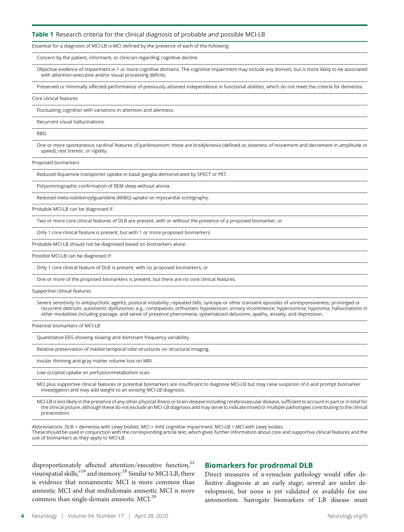#### Table 1 Research criteria for the clinical diagnosis of probable and possible MCI-LB

Essential for a diagnosis of MCI-LB is MCI defined by the presence of each of the following:

Concern by the patient, informant, or clinician regarding cognitive decline.

Objective evidence of impairment in 1 or more cognitive domains. The cognitive impairment may include any domain, but is more likely to be associated with attention-executive and/or visual processing deficits.

Preserved or minimally affected performance of previously attained independence in functional abilities, which do not meet the criteria for dementia.

Core clinical features

Fluctuating cognition with variations in attention and alertness.

Recurrent visual hallucinations.

**RBD** 

One or more spontaneous cardinal features of parkinsonism: these are bradykinesia (defined as slowness of movement and decrement in amplitude or speed), rest tremor, or rigidity.

Proposed biomarkers

Reduced dopamine transporter uptake in basal ganglia demonstrated by SPECT or PET.

Polysomnographic confirmation of REM sleep without atonia.

Reduced meta-iodobenzylguanidine (MIBG) uptake on myocardial scintigraphy.

Probable MCI-LB can be diagnosed if:

Two or more core clinical features of DLB are present, with or without the presence of a proposed biomarker, or

Only 1 core clinical feature is present, but with 1 or more proposed biomarkers.

Probable MCI-LB should not be diagnosed based on biomarkers alone.

Possible MCI-LB can be diagnosed if:

Only 1 core clinical feature of DLB is present, with no proposed biomarkers, or

One or more of the proposed biomarkers is present, but there are no core clinical features.

Supportive clinical features

Severe sensitivity to antipsychotic agents; postural instability; repeated falls; syncope or other transient episodes of unresponsiveness; prolonged or recurrent delirium; autonomic dysfunction, e.g., constipation, orthostatic hypotension, urinary incontinence; hypersomnia; hyposmia; hallucinations in other modalities including passage, and sense of presence phenomena; systematized delusions; apathy, anxiety, and depression.

Potential biomarkers of MCI-LB

Quantitative EEG showing slowing and dominant frequency variability.

Relative preservation of medial temporal lobe structures on structural imaging.

Insular thinning and gray matter volume loss on MRI.

Low occipital uptake on perfusion/metabolism scan.

MCI plus supportive clinical features or potential biomarkers are insufficient to diagnose MCI-LB but may raise suspicion of it and prompt biomarker investigation and may add weight to an existing MCI-LB diagnosis.

MCI-LB is less likely in the presence of any other physical illness or brain disease including cerebrovascular disease, sufficient to account in part or in total for the clinical picture, although these do not exclude an MCI-LB diagnosis and may serve to indicate mixed or multiple pathologies contributing to the clinical presentation.

Abbreviations: DLB = dementia with Lewy bodies; MCI = mild cognitive impairment; MCI-LB = MCI with Lewy bodies. These should be used in conjunction with the corresponding article text, which gives further information about core and supportive clinical features and the use of biomarkers as they apply to MCI-LB.

disproportionately affected attention/executive function, $22$ visuospatial skills,  $e^{18}$  and memory.<sup>28</sup> Similar to MCI-LB, there is evidence that nonamnestic MCI is more common than amnestic MCI and that multidomain amnestic MCI is more common than single-domain amnestic MCI.<sup>29</sup>

#### Biomarkers for prodromal DLB

Direct measures of α-synuclein pathology would offer definitive diagnosis at an early stage; several are under development, but none is yet validated or available for use antemortem. Surrogate biomarkers of LB disease must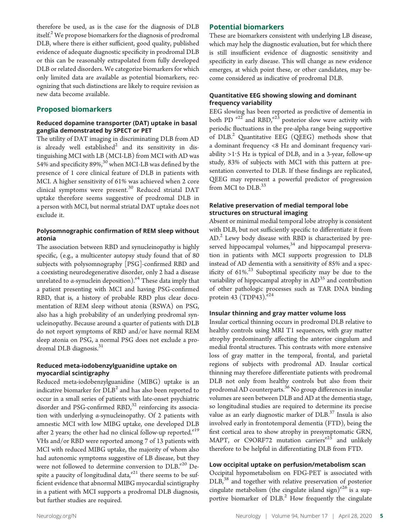therefore be used, as is the case for the diagnosis of DLB itself.<sup>2</sup> We propose biomarkers for the diagnosis of prodromal DLB, where there is either sufficient, good quality, published evidence of adequate diagnostic specificity in prodromal DLB or this can be reasonably extrapolated from fully developed DLB or related disorders. We categorize biomarkers for which only limited data are available as potential biomarkers, recognizing that such distinctions are likely to require revision as new data become available.

#### Proposed biomarkers

#### Reduced dopamine transporter (DAT) uptake in basal ganglia demonstrated by SPECT or PET

The utility of DAT imaging in discriminating DLB from AD is already well established<sup>2</sup> and its sensitivity in distinguishing MCI with LB (MCI-LB) from MCI with AD was 54% and specificity  $89\%$ ,<sup>30</sup> when MCI-LB was defined by the presence of 1 core clinical feature of DLB in patients with MCI. A higher sensitivity of 61% was achieved when 2 core clinical symptoms were present.<sup>30</sup> Reduced striatal DAT uptake therefore seems suggestive of prodromal DLB in a person with MCI, but normal striatal DAT uptake does not exclude it.

#### Polysomnographic confirmation of REM sleep without atonia

The association between RBD and synucleinopathy is highly specific, (e.g., a multicenter autopsy study found that of 80 subjects with polysomnography [PSG]-confirmed RBD and a coexisting neurodegenerative disorder, only 2 had a disease unrelated to  $\alpha$ -synuclein deposition).<sup>e4</sup> These data imply that a patient presenting with MCI and having PSG-confirmed RBD, that is, a history of probable RBD plus clear documentation of REM sleep without atonia (RSWA) on PSG, also has a high probability of an underlying prodromal synucleinopathy. Because around a quarter of patients with DLB do not report symptoms of RBD and/or have normal REM sleep atonia on PSG, a normal PSG does not exclude a prodromal DLB diagnosis.<sup>31</sup>

#### Reduced meta-iodobenzylguanidine uptake on myocardial scintigraphy

Reduced meta-iodobenzylguanidine (MIBG) uptake is an indicative biomarker for  $DLB<sup>2</sup>$  and has also been reported to occur in a small series of patients with late-onset psychiatric disorder and PSG-confirmed  $RBD$ ,<sup>32</sup> reinforcing its association with underlying α-synucleinopathy. Of 2 patients with amnestic MCI with low MIBG uptake, one developed DLB after 2 years; the other had no clinical follow-up reported.<sup>e19</sup> VHs and/or RBD were reported among 7 of 13 patients with MCI with reduced MIBG uptake, the majority of whom also had autonomic symptoms suggestive of LB disease, but they were not followed to determine conversion to DLB.<sup>e20</sup> Despite a paucity of longitudinal data, $e^{21}$  there seems to be sufficient evidence that abnormal MIBG myocardial scintigraphy in a patient with MCI supports a prodromal DLB diagnosis, but further studies are required.

These are biomarkers consistent with underlying LB disease, which may help the diagnostic evaluation, but for which there is still insufficient evidence of diagnostic sensitivity and specificity in early disease. This will change as new evidence emerges, at which point these, or other candidates, may become considered as indicative of prodromal DLB.

#### Quantitative EEG showing slowing and dominant frequency variability

EEG slowing has been reported as predictive of dementia in both PD  $e^{22}$  and RBD, $e^{23}$  posterior slow wave activity with periodic fluctuations in the pre-alpha range being supportive of DLB.<sup>2</sup> Quantitative EEG (QEEG) methods show that a dominant frequency <8 Hz and dominant frequency variability  $>1.5$  Hz is typical of DLB, and in a 3-year, follow-up study, 83% of subjects with MCI with this pattern at presentation converted to DLB. If these findings are replicated, QEEG may represent a powerful predictor of progression from MCI to DLB.<sup>33</sup>

#### Relative preservation of medial temporal lobe structures on structural imaging

Absent or minimal medial temporal lobe atrophy is consistent with DLB, but not sufficiently specific to differentiate it from  $AD<sup>2</sup>$  Lewy body disease with RBD is characterized by preserved hippocampal volumes, $34$  and hippocampal preservation in patients with MCI supports progression to DLB instead of AD dementia with a sensitivity of 85% and a specificity of  $61\%$ <sup>23</sup> Suboptimal specificity may be due to the variability of hippocampal atrophy in AD<sup>35</sup> and contribution of other pathologic processes such as TAR DNA binding protein 43 (TDP43). $e^{24}$ 

#### Insular thinning and gray matter volume loss

Insular cortical thinning occurs in prodromal DLB relative to healthy controls using MRI T1 sequences, with gray matter atrophy predominantly affecting the anterior cingulum and medial frontal structures. This contrasts with more extensive loss of gray matter in the temporal, frontal, and parietal regions of subjects with prodromal AD. Insular cortical thinning may therefore differentiate patients with prodromal DLB not only from healthy controls but also from their prodromal AD counterparts.<sup>36</sup> No group differences in insular volumes are seen between DLB and AD at the dementia stage, so longitudinal studies are required to determine its precise value as an early diagnostic marker of  $DLB$ <sup>37</sup> Insula is also involved early in frontotemporal dementia (FTD), being the first cortical area to show atrophy in presymptomatic GRN, MAPT, or C9ORF72 mutation carriers<sup>e25</sup> and unlikely therefore to be helpful in differentiating DLB from FTD.

#### Low occipital uptake on perfusion/metabolism scan

Occipital hypometabolism on FDG-PET is associated with DLB,<sup>38</sup> and together with relative preservation of posterior cingulate metabolism (the cingulate island sign)<sup>e26</sup> is a supportive biomarker of DLB.<sup>2</sup> How frequently the cingulate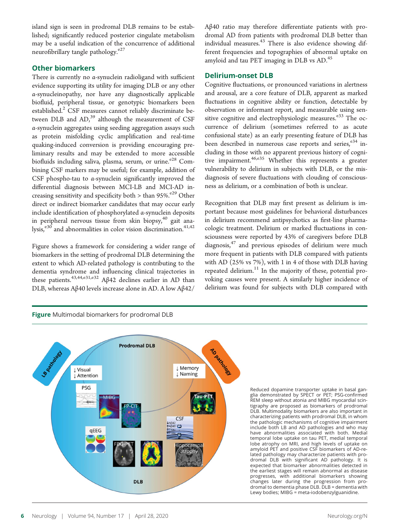island sign is seen in prodromal DLB remains to be established; significantly reduced posterior cingulate metabolism may be a useful indication of the concurrence of additional neurofibrillary tangle pathology.<sup>e27</sup>

#### Other biomarkers

There is currently no α-synuclein radioligand with sufficient evidence supporting its utility for imaging DLB or any other α-synucleinopathy, nor have any diagnostically applicable biofluid, peripheral tissue, or genotypic biomarkers been established.<sup>2</sup> CSF measures cannot reliably discriminate between DLB and  $AD<sub>1</sub><sup>39</sup>$  although the measurement of CSF α-synuclein aggregates using seeding aggregation assays such as protein misfolding cyclic amplification and real-time quaking-induced conversion is providing encouraging preliminary results and may be extended to more accessible biofluids including saliva, plasma, serum, or urine.<sup>e28</sup> Combining CSF markers may be useful; for example, addition of CSF phospho-tau to α-synuclein significantly improved the differential diagnosis between MCI-LB and MCI-AD increasing sensitivity and specificity both  $>$  than 95%.<sup>e29</sup> Other direct or indirect biomarker candidates that may occur early include identification of phosphorylated α-synuclein deposits in peripheral nervous tissue from skin biopsy,<sup>40</sup> gait analysis,<sup>e30</sup> and abnormalities in color vision discrimination.<sup>41,42</sup>

Figure shows a framework for considering a wider range of biomarkers in the setting of prodromal DLB determining the extent to which AD-related pathology is contributing to the dementia syndrome and influencing clinical trajectories in these patients.<sup>43,44,e31,e32</sup> Aβ42 declines earlier in AD than DLB, whereas Aβ40 levels increase alone in AD. A low Aβ42/

Figure Multimodal biomarkers for prodromal DLB

I Visual

Aβ40 ratio may therefore differentiate patients with prodromal AD from patients with prodromal DLB better than individual measures.<sup>43</sup> There is also evidence showing different frequencies and topographies of abnormal uptake on amyloid and tau PET imaging in DLB vs AD.<sup>45</sup>

#### Delirium-onset DLB

Cognitive fluctuations, or pronounced variations in alertness and arousal, are a core feature of DLB, apparent as marked fluctuations in cognitive ability or function, detectable by observation or informant report, and measurable using sensitive cognitive and electrophysiologic measures.<sup>e33</sup> The occurrence of delirium (sometimes referred to as acute confusional state) as an early presenting feature of DLB has been described in numerous case reports and series,<sup>e34</sup> including in those with no apparent previous history of cognitive impairment.<sup>46,e35</sup> Whether this represents a greater vulnerability to delirium in subjects with DLB, or the misdiagnosis of severe fluctuations with clouding of consciousness as delirium, or a combination of both is unclear.

Recognition that DLB may first present as delirium is important because most guidelines for behavioral disturbances in delirium recommend antipsychotics as first-line pharmacologic treatment. Delirium or marked fluctuations in consciousness were reported by 43% of caregivers before DLB diagnosis,<sup>47</sup> and previous episodes of delirium were much more frequent in patients with DLB compared with patients with AD (25% vs 7%), with 1 in 4 of those with DLB having repeated delirium. $11$  In the majority of these, potential provoking causes were present. A similarly higher incidence of delirium was found for subjects with DLB compared with



**Prodromal DLB** 

↓ Memory

Reduced dopamine transporter uptake in basal ganglia demonstrated by SPECT or PET; PSG-confirmed REM sleep without atonia and MIBG myocardial scintigraphy are proposed as biomarkers of prodromal DLB. Multimodality biomarkers are also important in characterizing patients with prodromal DLB, in whom the pathologic mechanisms of cognitive impairment include both LB and AD pathologies and who may have abnormalities associated with both. Medial temporal lobe uptake on tau PET, medial temporal lobe atrophy on MRI, and high levels of uptake on amyloid PET and positive CSF biomarkers of AD-related pathology may characterize patients with prodromal DLB with significant AD pathology. It is expected that biomarker abnormalities detected in the earliest stages will remain abnormal as disease progresses, with additional biomarkers showing changes later during the progression from pro-dromal to dementia phase DLB. DLB = dementia with Lewy bodies; MIBG = meta-iodobenzylguanidine.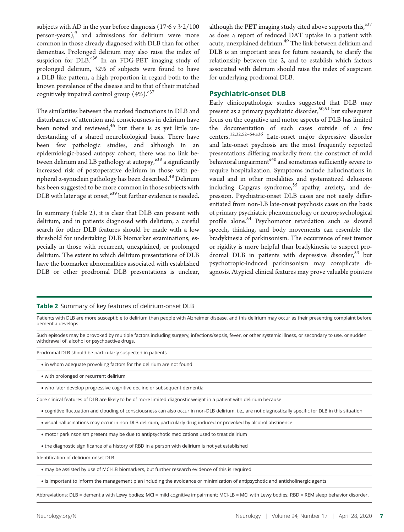subjects with AD in the year before diagnosis (17.6 v 3.2/100 person-years), $9$  and admissions for delirium were more common in those already diagnosed with DLB than for other dementias. Prolonged delirium may also raise the index of suspicion for DLB.<sup>e36</sup> In an FDG-PET imaging study of prolonged delirium, 32% of subjects were found to have a DLB like pattern, a high proportion in regard both to the known prevalence of the disease and to that of their matched cognitively impaired control group  $(4%)$ .<sup>e37</sup>

The similarities between the marked fluctuations in DLB and disturbances of attention and consciousness in delirium have been noted and reviewed, $46$  but there is as yet little understanding of a shared neurobiological basis. There have been few pathologic studies, and although in an epidemiologic-based autopsy cohort, there was no link between delirium and LB pathology at autopsy, $e^{38}$  a significantly increased risk of postoperative delirium in those with peripheral  $\alpha$ -synuclein pathology has been described.<sup>48</sup> Delirium has been suggested to be more common in those subjects with DLB with later age at onset, $e^{39}$  but further evidence is needed.

In summary (table 2), it is clear that DLB can present with delirium, and in patients diagnosed with delirium, a careful search for other DLB features should be made with a low threshold for undertaking DLB biomarker examinations, especially in those with recurrent, unexplained, or prolonged delirium. The extent to which delirium presentations of DLB have the biomarker abnormalities associated with established DLB or other prodromal DLB presentations is unclear, although the PET imaging study cited above supports this, $e^{37}$ as does a report of reduced DAT uptake in a patient with acute, unexplained delirium.<sup>49</sup> The link between delirium and DLB is an important area for future research, to clarify the relationship between the 2, and to establish which factors associated with delirium should raise the index of suspicion for underlying prodromal DLB.

#### Psychiatric-onset DLB

Early clinicopathologic studies suggested that DLB may present as a primary psychiatric disorder,<sup>50,51</sup> but subsequent focus on the cognitive and motor aspects of DLB has limited the documentation of such cases outside of a few centers.12,32,52–54,e36 Late-onset major depressive disorder and late-onset psychosis are the most frequently reported presentations differing markedly from the construct of mild behavioral impairment<sup>e40</sup> and sometimes sufficiently severe to require hospitalization. Symptoms include hallucinations in visual and in other modalities and systematized delusions including Capgras syndrome, $55$  apathy, anxiety, and depression. Psychiatric-onset DLB cases are not easily differentiated from non-LB late-onset psychosis cases on the basis of primary psychiatric phenomenology or neuropsychological profile alone.<sup>54</sup> Psychomotor retardation such as slowed speech, thinking, and body movements can resemble the bradykinesia of parkinsonism. The occurrence of rest tremor or rigidity is more helpful than bradykinesia to suspect prodromal DLB in patients with depressive disorder,  $53$  but psychotropic-induced parkinsonism may complicate diagnosis. Atypical clinical features may prove valuable pointers

#### Table 2 Summary of key features of delirium-onset DLB

Patients with DLB are more susceptible to delirium than people with Alzheimer disease, and this delirium may occur as their presenting complaint before dementia develops. Such episodes may be provoked by multiple factors including surgery, infections/sepsis, fever, or other systemic illness, or secondary to use, or sudden withdrawal of, alcohol or psychoactive drugs. Prodromal DLB should be particularly suspected in patients • in whom adequate provoking factors for the delirium are not found. • with prolonged or recurrent delirium • who later develop progressive cognitive decline or subsequent dementia Core clinical features of DLB are likely to be of more limited diagnostic weight in a patient with delirium because • cognitive fluctuation and clouding of consciousness can also occur in non-DLB delirium, i.e., are not diagnostically specific for DLB in this situation • visual hallucinations may occur in non-DLB delirium, particularly drug-induced or provoked by alcohol abstinence • motor parkinsonism present may be due to antipsychotic medications used to treat delirium • the diagnostic significance of a history of RBD in a person with delirium is not yet established

Identification of delirium-onset DLB

• may be assisted by use of MCI-LB biomarkers, but further research evidence of this is required

• is important to inform the management plan including the avoidance or minimization of antipsychotic and anticholinergic agents

Abbreviations: DLB = dementia with Lewy bodies; MCI = mild cognitive impairment; MCI-LB = MCI with Lewy bodies; RBD = REM sleep behavior disorder.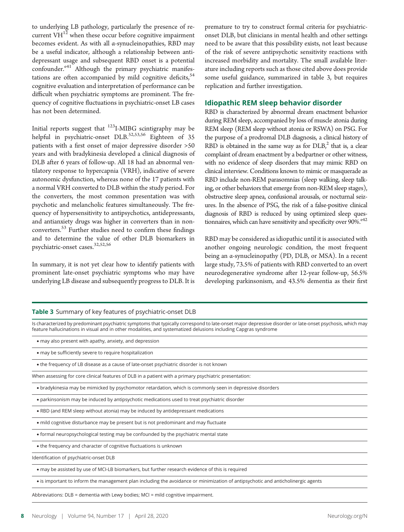to underlying LB pathology, particularly the presence of recurrent  $VH^{12}$  when these occur before cognitive impairment becomes evident. As with all α-synucleinopathies, RBD may be a useful indicator, although a relationship between antidepressant usage and subsequent RBD onset is a potential confounder.<sup>e41</sup> Although the primary psychiatric manifestations are often accompanied by mild cognitive deficits,  $54$ cognitive evaluation and interpretation of performance can be difficult when psychiatric symptoms are prominent. The frequency of cognitive fluctuations in psychiatric-onset LB cases has not been determined.

Initial reports suggest that  $^{123}$ I-MIBG scintigraphy may be helpful in psychiatric-onset DLB.<sup>52,53,56</sup> Eighteen of 35 patients with a first onset of major depressive disorder >50 years and with bradykinesia developed a clinical diagnosis of DLB after 6 years of follow-up. All 18 had an abnormal ventilatory response to hypercapnia (VRH), indicative of severe autonomic dysfunction, whereas none of the 17 patients with a normal VRH converted to DLB within the study period. For the converters, the most common presentation was with psychotic and melancholic features simultaneously. The frequency of hypersensitivity to antipsychotics, antidepressants, and antianxiety drugs was higher in converters than in nonconverters.<sup>53</sup> Further studies need to confirm these findings and to determine the value of other DLB biomarkers in psychiatric-onset cases.32,52,56

In summary, it is not yet clear how to identify patients with prominent late-onset psychiatric symptoms who may have underlying LB disease and subsequently progress to DLB. It is premature to try to construct formal criteria for psychiatriconset DLB, but clinicians in mental health and other settings need to be aware that this possibility exists, not least because of the risk of severe antipsychotic sensitivity reactions with increased morbidity and mortality. The small available literature including reports such as those cited above does provide some useful guidance, summarized in table 3, but requires replication and further investigation.

#### Idiopathic REM sleep behavior disorder

RBD is characterized by abnormal dream enactment behavior during REM sleep, accompanied by loss of muscle atonia during REM sleep (REM sleep without atonia or RSWA) on PSG. For the purpose of a prodromal DLB diagnosis, a clinical history of RBD is obtained in the same way as for  $DLB<sup>2</sup>$  that is, a clear complaint of dream enactment by a bedpartner or other witness, with no evidence of sleep disorders that may mimic RBD on clinical interview. Conditions known to mimic or masquerade as RBD include non-REM parasomnias (sleep walking, sleep talking, or other behaviors that emerge from non-REM sleep stages), obstructive sleep apnea, confusional arousals, or nocturnal seizures. In the absence of PSG, the risk of a false-positive clinical diagnosis of RBD is reduced by using optimized sleep questionnaires, which can have sensitivity and specificity over 90%.<sup>e42</sup>

RBD may be considered as idiopathic until it is associated with another ongoing neurologic condition, the most frequent being an α-synucleinopathy (PD, DLB, or MSA). In a recent large study, 73.5% of patients with RBD converted to an overt neurodegenerative syndrome after 12-year follow-up, 56.5% developing parkinsonism, and 43.5% dementia as their first

#### Table 3 Summary of key features of psychiatric-onset DLB

| Is characterized by predominant psychiatric symptoms that typically correspond to late-onset major depressive disorder or late-onset psychosis, which may<br>feature hallucinations in visual and in other modalities, and systematized delusions including Capgras syndrome |
|------------------------------------------------------------------------------------------------------------------------------------------------------------------------------------------------------------------------------------------------------------------------------|
| • may also present with apathy, anxiety, and depression                                                                                                                                                                                                                      |
| • may be sufficiently severe to require hospitalization                                                                                                                                                                                                                      |
| • the frequency of LB disease as a cause of late-onset psychiatric disorder is not known                                                                                                                                                                                     |
| When assessing for core clinical features of DLB in a patient with a primary psychiatric presentation:                                                                                                                                                                       |
| • bradykinesia may be mimicked by psychomotor retardation, which is commonly seen in depressive disorders                                                                                                                                                                    |
| • parkinsonism may be induced by antipsychotic medications used to treat psychiatric disorder                                                                                                                                                                                |
| • RBD (and REM sleep without atonia) may be induced by antidepressant medications                                                                                                                                                                                            |
| • mild cognitive disturbance may be present but is not predominant and may fluctuate                                                                                                                                                                                         |
| • formal neuropsychological testing may be confounded by the psychiatric mental state                                                                                                                                                                                        |
| • the frequency and character of cognitive fluctuations is unknown                                                                                                                                                                                                           |
| Identification of psychiatric-onset DLB                                                                                                                                                                                                                                      |
| • may be assisted by use of MCI-LB biomarkers, but further research evidence of this is required                                                                                                                                                                             |
| • is important to inform the management plan including the avoidance or minimization of antipsychotic and anticholinergic agents                                                                                                                                             |
|                                                                                                                                                                                                                                                                              |

Abbreviations: DLB = dementia with Lewy bodies; MCI = mild cognitive impairment.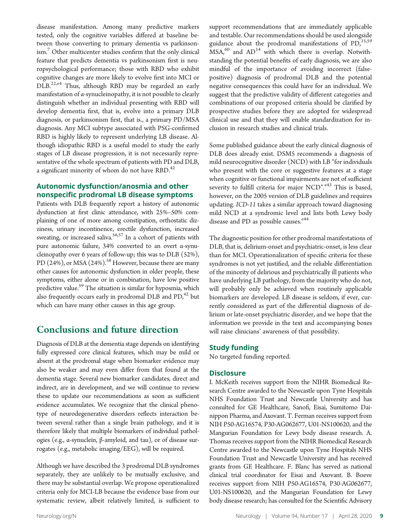disease manifestation. Among many predictive markers tested, only the cognitive variables differed at baseline between those converting to primary dementia vs parkinsonism.<sup>7</sup> Other multicenter studies confirm that the only clinical feature that predicts dementia vs parkinsonism first is neuropsychological performance; those with RBD who exhibit cognitive changes are more likely to evolve first into MCI or  $DLB.<sup>22,e4</sup>$  Thus, although RBD may be regarded an early manifestation of α-synucleinopathy, it is not possible to clearly distinguish whether an individual presenting with RBD will develop dementia first, that is, evolve into a primary DLB diagnosis, or parkinsonism first, that is., a primary PD/MSA diagnosis. Any MCI subtype associated with PSG-confirmed RBD is highly likely to represent underlying LB disease. Although idiopathic RBD is a useful model to study the early stages of LB disease progression, it is not necessarily representative of the whole spectrum of patients with PD and DLB, a significant minority of whom do not have RBD.<sup>42</sup>

#### Autonomic dysfunction/anosmia and other nonspecific prodromal LB disease symptoms

Patients with DLB frequently report a history of autonomic dysfunction at first clinic attendance, with 25%–50% complaining of one of more among constipation, orthostatic dizziness, urinary incontinence, erectile dysfunction, increased sweating, or increased saliva.<sup>56,57</sup> In a cohort of patients with pure autonomic failure, 34% converted to an overt α-synucleinopathy over 6 years of follow-up; this was to DLB (52%), PD (24%), or MSA (24%).<sup>58</sup> However, because there are many other causes for autonomic dysfunction in older people, these symptoms, either alone or in combination, have low positive predictive value.<sup>59</sup> The situation is similar for hyposmia, which also frequently occurs early in prodromal DLB and  $PD<sub>1</sub><sup>42</sup>$  but which can have many other causes in this age group.

### Conclusions and future direction

Diagnosis of DLB at the dementia stage depends on identifying fully expressed core clinical features, which may be mild or absent at the prodromal stage when biomarker evidence may also be weaker and may even differ from that found at the dementia stage. Several new biomarker candidates, direct and indirect, are in development, and we will continue to review these to update our recommendations as soon as sufficient evidence accumulates. We recognize that the clinical phenotype of neurodegenerative disorders reflects interaction between several rather than a single brain pathology, and it is therefore likely that multiple biomarkers of individual pathologies (e.g., α-synuclein, β-amyloid, and tau), or of disease surrogates (e.g., metabolic imaging/EEG), will be required.

Although we have described the 3 prodromal DLB syndromes separately, they are unlikely to be mutually exclusive, and there may be substantial overlap. We propose operationalized criteria only for MCI-LB because the evidence base from our systematic review, albeit relatively limited, is sufficient to

support recommendations that are immediately applicable and testable. Our recommendations should be used alongside guidance about the prodromal manifestations of  $PD<sub>1</sub><sup>15,59</sup>$  $MSA<sub>1</sub><sup>60</sup>$  and  $AD<sup>14</sup>$  with which there is overlap. Notwithstanding the potential benefits of early diagnosis, we are also mindful of the importance of avoiding incorrect (falsepositive) diagnosis of prodromal DLB and the potential negative consequences this could have for an individual. We suggest that the predictive validity of different categories and combinations of our proposed criteria should be clarified by prospective studies before they are adopted for widespread clinical use and that they will enable standardization for inclusion in research studies and clinical trials.

Some published guidance about the early clinical diagnosis of DLB does already exist. DSM5 recommends a diagnosis of mild neurocognitive disorder (NCD) with LB "for individuals who present with the core or suggestive features at a stage when cognitive or functional impairments are not of sufficient severity to fulfill criteria for major NCD".<sup>e43</sup> This is based, however, on the 2005 version of DLB guidelines and requires updating. ICD-11 takes a similar approach toward diagnosing mild NCD at a syndromic level and lists both Lewy body disease and PD as possible causes.<sup>e44</sup>

The diagnostic position for other prodromal manifestations of DLB, that is, delirium-onset and psychiatric-onset, is less clear than for MCI. Operationalization of specific criteria for these syndromes is not yet justified, and the reliable differentiation of the minority of delirious and psychiatrically ill patients who have underlying LB pathology, from the majority who do not, will probably only be achieved when routinely applicable biomarkers are developed. LB disease is seldom, if ever, currently considered as part of the differential diagnosis of delirium or late-onset psychiatric disorder, and we hope that the information we provide in the text and accompanying boxes will raise clinicians' awareness of that possibility.

#### Study funding

No targeted funding reported.

#### **Disclosure**

I. McKeith receives support from the NIHR Biomedical Research Centre awarded to the Newcastle upon Tyne Hospitals NHS Foundation Trust and Newcastle University and has consulted for GE Healthcare, Sanofi, Eisai, Sumitomo Dainippon Pharma, and Axovant. T. Ferman receives support from NIH P50-AG16574, P30-AG062677, U01-NS100620, and the Mangurian Foundation for Lewy body disease research. A. Thomas receives support from the NIHR Biomedical Research Centre awarded to the Newcastle upon Tyne Hospitals NHS Foundation Trust and Newcastle University and has received grants from GE Healthcare. F. Blanc has served as national clinical trial coordinator for Eisai and Axovant. B. Boeve receives support from NIH P50-AG16574, P30-AG062677, U01-NS100620, and the Mangurian Foundation for Lewy body disease research; has consulted for the Scientific Advisory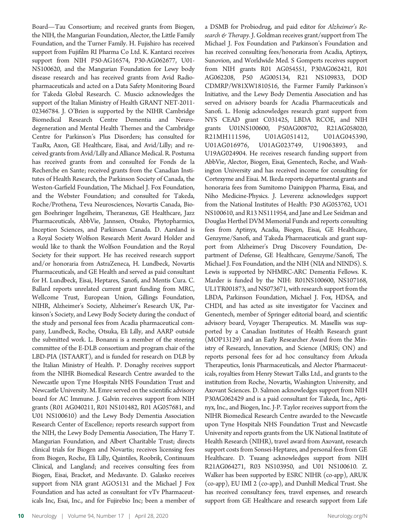Board—Tau Consortium; and received grants from Biogen, the NIH, the Mangurian Foundation, Alector, the Little Family Foundation, and the Turner Family. H. Fujishiro has received support from Fujifilm RI Pharma Co Ltd. K. Kantarci receives support from NIH P50-AG16574, P30-AG062677, U01- NS100620, and the Mangurian Foundation for Lewy body disease research and has received grants from Avid Radiopharmaceuticals and acted on a Data Safety Monitoring Board for Takeda Global Research. C. Muscio acknowledges the support of the Italian Ministry of Health GRANT NET-2011- 02346784. J. O'Brien is supported by the NIHR Cambridge Biomedical Research Centre Dementia and Neurodegeneration and Mental Health Themes and the Cambridge Centre for Parkinson's Plus Disorders; has consulted for TauRx, Axon, GE Healthcare, Eisai, and Avid/Lilly; and received grants from Avid/Lilly and Alliance Medical. R. Postuma has received grants from and consulted for Fonds de la Recherche en Sante; received grants from the Canadian Institutes of Health Research, the Parkinson Society of Canada, the Weston-Garfield Foundation, The Michael J. Fox Foundation, and the Webster Foundation; and consulted for Takeda, Roche/Prothena, Teva Neurosciences, Novartis Canada, Biogen Boehringer Ingelheim, Theranexus, GE Healthcare, Jazz Pharmaceuticals, AbbVie, Jannsen, Otsuko, Phytopharmics, Inception Sciences, and Parkinson Canada. D. Aarsland is a Royal Society Wolfson Research Merit Award Holder and would like to thank the Wolfson Foundation and the Royal Society for their support. He has received research support and/or honoraria from AstraZeneca, H. Lundbeck, Novartis Pharmaceuticals, and GE Health and served as paid consultant for H. Lundbeck, Eisai, Heptares, Sanofi, and Mentis Cura. C. Ballard reports unrelated current grant funding from MRC, Wellcome Trust, European Union, Gillings Foundation, NIHR, Alzheimer's Society, Alzheimer's Research UK, Parkinson's Society, and Lewy Body Society during the conduct of the study and personal fees from Acadia pharmaceutical company, Lundbeck, Roche, Otsuka, Eli Lilly, and AARP outside the submitted work. L. Bonanni is a member of the steering committee of the E-DLB consortium and program chair of the LBD-PIA (ISTAART), and is funded for research on DLB by the Italian Ministry of Health. P. Donaghy receives support from the NIHR Biomedical Research Centre awarded to the Newcastle upon Tyne Hospitals NHS Foundation Trust and Newcastle University. M. Emre served on the scientific advisory board for AC Immune. J. Galvin receives support from NIH grants (R01 AG040211, R01 NS101482, R01 AG057681, and U01 NS100610) and the Lewy Body Dementia Association Research Center of Excellence; reports research support from the NIH, the Lewy Body Dementia Association, The Harry T. Mangurian Foundation, and Albert Charitable Trust; directs clinical trials for Biogen and Novartis; receives licensing fees from Biogen, Roche, Eli Lilly, Quintiles, Roobrik, Continuum Clinical, and Langland; and receives consulting fees from Biogen, Eisai, Bracket, and Medavante. D. Galasko receives support from NIA grant AGO5131 and the Michael J Fox Foundation and has acted as consultant for vTv Pharmaceuticals Inc, Esai, Inc., and for Fujirebio Inc; been a member of

search & Therapy. J. Goldman receives grant/support from The Michael J. Fox Foundation and Parkinson's Foundation and has received consulting fees/honoraria from Acadia, Aptinyx, Sunovion, and Worldwide Med. S Gomperts receives support from NIH grants R01 AG054551, P30AG062421, R01 AG062208, P50 AG005134, R21 NS109833, DOD CDMRP/W81XW1810516, the Farmer Family Parkinson's Initiative, and the Lewy Body Dementia Association and has served on advisory boards for Acadia Pharmaceuticals and Sanofi. L. Honig acknowledges research grant support from NYS CEAD grant C031425, LBDA RCOE, and NIH grants U01NS100600, P50AG008702, R21AG058020, R21MH111596, U01AG051412, U01AG045390, U01AG016976, U01AG023749, U19063893, and U19AG024904. He receives research funding support from AbbVie, Alector, Biogen, Eisai, Genentech, Roche, and Washington University and has received income for consulting for Cortexyme and Eisai. M. Ikeda reports departmental grants and honoraria fees from Sumitomo Dainippon Pharma, Eisai, and Niho Medicine-Physics. J. Leverenz acknowledges support from the National Institutes of Health: P30 AG053762, UO1 NS100610, and R13 NS111954, and Jane and Lee Seidman and Douglas Herthel DVM Memorial Funds and reports consulting fees from Aptinyx, Acadia, Biogen, Eisai, GE Healthcare, Genzyme/Sanofi, and Takeda Pharmaceuticals and grant support from Alzheimer's Drug Discovery Foundation, Department of Defense, GE Healthcare, Genzyme/Sanofi, The Michael J. Fox Foundation, and the NIH (NIA and NINDS). S. Lewis is supported by NHMRC-ARC Dementia Fellows. K. Marder is funded by the NIH: R01NS100600, NS107168, UL1TR001873, and NS073671, with research support from the LBDA, Parkinson Foundation, Michael J. Fox, HDSA, and CHDI, and has acted as site investigator for Vaccinex and Genentech, member of Springer editorial board, and scientific advisory board, Voyager Therapeutics. M. Masellis was supported by a Canadian Institutes of Health Research grant (MOP13129) and an Early Researcher Award from the Ministry of Research, Innovation, and Science (MRIS; ON) and reports personal fees for ad hoc consultancy from Arkuda Therapeutics, Ionis Pharmaceuticals, and Alector Pharmaceuticals, royalties from Henry Stewart Talks Ltd., and grants to the institution from Roche, Novartis, Washington University, and Axovant Sciences. D. Salmon acknowledges support from NIH P30AG062429 and is a paid consultant for Takeda, Inc., Aptinyx, Inc., and Biogen, Inc. J-P. Taylor receives support from the NIHR Biomedical Research Centre awarded to the Newcastle upon Tyne Hospitals NHS Foundation Trust and Newcastle University and reports grants from the UK National Institute of Health Research (NIHR), travel award from Axovant, research support costs from Sonsei-Heptares, and personal fees from GE Healthcare. D. Tsuang acknowledges support from NIH R21AG064271, R03 NS103950, and U01 NS100610. Z. Walker has been supported by ESRC NIHR (co-app), ARUK (co-app), EU IMI 2 (co-app), and Dunhill Medical Trust. She has received consultancy fees, travel expenses, and research support from GE Healthcare and research support from Life

a DSMB for Probiodrug, and paid editor for Alzheimer's Re-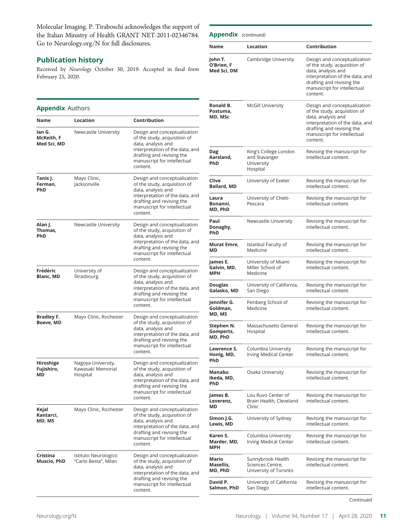Molecular Imaging. P. Tiraboschi acknowledges the support of the Italian Ministry of Health GRANT NET-2011-02346784. Go to [Neurology.org/N](https://n.neurology.org/lookup/doi/10.1212/WNL.0000000000009323) for full disclosures.

#### Publication history

Received by Neurology October 30, 2019. Accepted in final form February 25, 2020.

#### Appendix Authors

| Name                                | Location                                            | Contribution                                                                                                                                                                                  |
|-------------------------------------|-----------------------------------------------------|-----------------------------------------------------------------------------------------------------------------------------------------------------------------------------------------------|
| lan G.<br>McKeith, F<br>Med Sci, MD | Newcastle University                                | Design and conceptualization<br>of the study, acquisition of<br>data, analysis and<br>interpretation of the data, and<br>drafting and revising the<br>manuscript for intellectual<br>content. |
| Tanis J.<br>Ferman,<br>PhD          | Mayo Clinic,<br>Jacksonville                        | Design and conceptualization<br>of the study, acquisition of<br>data, analysis and<br>interpretation of the data, and<br>drafting and revising the<br>manuscript for intellectual<br>content. |
| Alan J.<br>Thomas,<br>PhD           | Newcastle University                                | Design and conceptualization<br>of the study, acquisition of<br>data, analysis and<br>interpretation of the data, and<br>drafting and revising the<br>manuscript for intellectual<br>content. |
| Frédéric<br>Blanc, MD               | University of<br>Strasbourg                         | Design and conceptualization<br>of the study, acquisition of<br>data, analysis and<br>interpretation of the data, and<br>drafting and revising the<br>manuscript for intellectual<br>content. |
| Bradley F.<br>Boeve, MD             | Mayo Clinic, Rochester                              | Design and conceptualization<br>of the study, acquisition of<br>data, analysis and<br>interpretation of the data, and<br>drafting and revising the<br>manuscript for intellectual<br>content. |
| Hiroshige<br>Fujishiro,<br>MD       | Nagoya University,<br>Kawasaki Memorial<br>Hospital | Design and conceptualization<br>of the study, acquisition of<br>data, analysis and<br>interpretation of the data, and<br>drafting and revising the<br>manuscript for intellectual<br>content. |
| Kejal<br>Kantarci,<br>MD, MS        | Mayo Clinic, Rochester                              | Design and conceptualization<br>of the study, acquisition of<br>data, analysis and<br>interpretation of the data, and<br>drafting and revising the<br>manuscript for intellectual<br>content. |
| Cristina<br>Muscio, PhD             | Istituto Neurologico<br>"Carlo Besta", Milan        | Design and conceptualization<br>of the study, acquisition of<br>data, analysis and<br>interpretation of the data, and<br>drafting and revising the<br>manuscript for intellectual<br>content. |

| <b>Appendix</b> (continued)          |                                                                  |                                                                                                                                                                                               |
|--------------------------------------|------------------------------------------------------------------|-----------------------------------------------------------------------------------------------------------------------------------------------------------------------------------------------|
| Name                                 | Location                                                         | Contribution                                                                                                                                                                                  |
| John T.<br>O'Brien, F<br>Med Sci, DM | Cambridge University                                             | Design and conceptualization<br>of the study, acquisition of<br>data, analysis and<br>interpretation of the data, and<br>drafting and revising the<br>manuscript for intellectual<br>content. |
| Ronald B.<br>Postuma,<br>MD, MSc     | McGill University                                                | Design and conceptualization<br>of the study, acquisition of<br>data, analysis and<br>interpretation of the data, and<br>drafting and revising the<br>manuscript for intellectual<br>content. |
| Dag<br>Aarsland,<br>PhD              | King's College London<br>and Stavanger<br>University<br>Hospital | Revising the manuscript for<br>intellectual content.                                                                                                                                          |
| Clive<br>Ballard, MD                 | University of Exeter                                             | Revising the manuscript for<br>intellectual content.                                                                                                                                          |
| Laura<br>Bonanni,<br>MD, PhD         | University of Chieti-<br>Pescara                                 | Revising the manuscript for<br>intellectual content.                                                                                                                                          |
| Paul<br>Donaghy,<br>PhD              | Newcastle University                                             | Revising the manuscript for<br>intellectual content.                                                                                                                                          |
| Murat Emre,<br>MD                    | Istanbul Faculty of<br>Medicine                                  | Revising the manuscript for<br>intellectual content.                                                                                                                                          |
| James E.<br>Galvin, MD,<br>MPH       | University of Miami<br>Miller School of<br>Medicine              | Revising the manuscript for<br>intellectual content.                                                                                                                                          |
| Douglas<br>Galasko, MD               | University of California,<br>San Diego                           | Revising the manuscript for<br>intellectual content.                                                                                                                                          |
| Jennifer G.<br>Goldman,<br>MD, MS    | Feinberg School of<br>Medicine                                   | Revising the manuscript for<br>intellectual content.                                                                                                                                          |
| Stephen N.<br>Gomperts,<br>MD, PhD   | Massachusetts General<br>Hospital                                | Revising the manuscript for<br>intellectual content.                                                                                                                                          |
| Lawrence S.<br>Honig, MD,<br>PhD     | Columbia University<br>Irving Medical Center                     | Revising the manuscript for<br>intellectual content.                                                                                                                                          |
| Manabu<br>Ikeda, MD,<br>PhD          | Osaka University                                                 | Revising the manuscript for<br>intellectual content.                                                                                                                                          |
| James B.<br>Leverenz,<br>МD          | Lou Ruvo Center of<br>Brain Health, Cleveland<br>Clinic          | Revising the manuscript for<br>intellectual content.                                                                                                                                          |
| Simon J.G.<br>Lewis, MD              | University of Sydney                                             | Revising the manuscript for<br>intellectual content.                                                                                                                                          |
| Karen S.<br>Marder, MD,<br>MPH       | Columbia University<br>Irving Medical Center                     | Revising the manuscript for<br>intellectual content.                                                                                                                                          |
| Mario<br>Masellis,<br>MD, PhD        | Sunnybrook Health<br>Sciences Centre,<br>University of Toronto   | Revising the manuscript for<br>intellectual content.                                                                                                                                          |
| David P.<br>Salmon, PhD              | University of California<br>San Diego                            | Revising the manuscript for<br>intellectual content.                                                                                                                                          |

Continued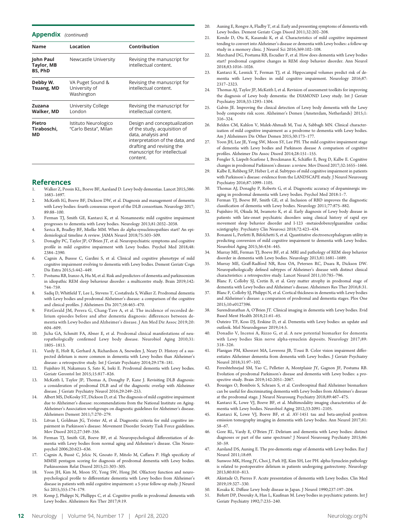#### Appendix (continued)

| <b>Name</b>                               | Location                                        | Contribution                                                                                                                                                                                  |
|-------------------------------------------|-------------------------------------------------|-----------------------------------------------------------------------------------------------------------------------------------------------------------------------------------------------|
| John Paul<br><b>Taylor, MB</b><br>BS, PhD | Newcastle University                            | Revising the manuscript for<br>intellectual content.                                                                                                                                          |
| Debby W.<br><b>Tsuang, MD</b>             | VA Puget Sound &<br>University of<br>Washington | Revising the manuscript for<br>intellectual content.                                                                                                                                          |
| Zuzana<br>Walker, MD                      | University College<br>London                    | Revising the manuscript for<br>intellectual content.                                                                                                                                          |
| Pietro<br>Tiraboschi,<br><b>MD</b>        | Istituto Neurologico<br>"Carlo Besta", Milan    | Design and conceptualization<br>of the study, acquisition of<br>data, analysis and<br>interpretation of the data, and<br>drafting and revising the<br>manuscript for intellectual<br>content. |

#### References

- 1. Walker Z, Possin KL, Boeve BF, Aarsland D. Lewy body dementias. Lancet 2015;386: 1683–1697.
- 2. McKeith IG, Boeve BF, Dickson DW, et al. Diagnosis and management of dementia with Lewy bodies: fourth consensus report of the DLB consortium. Neurology 2017; 89:88–100.
- 3. Ferman TJ, Smith GE, Kantarci K, et al. Nonamnestic mild cognitive impairment progresses to dementia with Lewy bodies. Neurology 2013;81:2032–2038.
- 4. Savica R, Bradley BF, Mielke MM. When do alpha-synucleinopathies start? An epidemiological timeline A review. JAMA Neurol 2018;75:503–509.
- 5. Donaghy PC, Taylor JP, O'Brien JT, et al. Neuropsychiatric symptoms and cognitive profile in mild cognitive impairment with Lewy bodies. Psychol Med 2018;48: 2384–2390.
- 6. Cagnin A, Bussse C, Gardini S, et al. Clinical and cognitive phenotype of mild cognitive impairment evolving to dementia with Lewy bodies. Dement Geriatr Cogn Dis Extra 2015;5:442–449.
- $\rm{Postuma}$ RB, Iranzo A, Hu $\rm{M}$  et al. Risk and predictors of dementia and parkinsonism in idiopathic REM sleep behaviour disorder: a multicentre study. Brain 2019;142: 744–759.
- 8. Sadiq D, Whitfield T, Lee L, Stevens T, Costafreda S, Walker Z. Prodromal dementia with Lewy bodies and prodromal Alzheimer's disease: a comparison of the cognitive and clinical profiles. J Alzheimers Dis 2017;58:463–470.
- FitzGerald JM, Perera G, Chang-Tave A, et al. The incidence of recorded delirium episodes before and after dementia diagnosis: differences between dementia with Lewy bodies and Alzheimer's disease. J Am Med Dir Assoc 2019;20: 604–609.
- 10. Jicha GA, Schmitt FA, Abner E, et al. Prodromal clinical manifestations of neuropathologically confirmed Lewy body disease. Neurobiol Aging 2010;31: 1805–1813.
- 11. Vardy E, Holt R, Gerhard A, Richardson A, Snowden J, Neary D. History of a suspected delirium is more common in dementia with Lewy bodies than Alzheimer's disease: a retrospective study. Int J Geriatr Psychiatry 2014;29:178–181.
- 12. Fujishiro H, Nakamura S, Sato K, Iseki E. Prodromal dementia with Lewy bodies. Geriatr Gerontol Int 2015;15:817–826.
- 13. McKeith I, Taylor JP, Thomas A, Donaghy P, Kane J. Revisiting DLB diagnosis: a consideration of prodromal DLB and of the diagnostic overlap with Alzheimer disease. J Geriatr Psychiatry Neurol 2016;29:249–253.
- 14. Albert MS, DeKosky ST, Dickson D, et al. The diagnosis of mild cognitive impairment due to Alzheimer's disease: recommendations from the National Institute on Aging-Alzheimer's Association workgroups on diagnostic guidelines for Alzheimer's disease. Alzheimers Dement 2011;7:270–279.
- 15. Litvan I, Goldman JG, Tröster AI, et al. Diagnostic criteria for mild cognitive impairment in Parkinson's disease: Movement Disorder Society Task Force guidelines. Mov Disord 2012;27:349–356.
- Ferman TJ, Smith GE, Boeve BF, et al. Neuropsychological differentiation of dementia with Lewy bodies from normal aging and Alzheimer's disease. Clin Neuropsychol 2006;20:623–636.
- 17. Cagnin A, Bussè C, Jelcic N, Gnoato F, Mitolo M, Caffarra P. High specificity of MMSE pentagon scoring for diagnosis of prodromal dementia with Lewy bodies. Parkinsonism Relat Disord 2015;21:303–305.
- 18. Yoon JH, Kim M, Moon SY, Yong SW, Hong JM. Olfactory function and neuropsychological profile to differentiate dementia with Lewy bodies from Alzheimer's disease in patients with mild cognitive impairment: a 5-year follow-up study. J Neurol Sci 2015;355:174–179.
- 19. Kemp J, Philippi N, Phillipps C, et al. Cognitive profile in prodromal dementia with Lewy bodies. Alzheimers Res Ther 2017;9:19.
- 20. Auning E, Rongve A, Fladby T, et al. Early and presenting symptoms of dementia with Lewy bodies. Dement Geriatr Cogn Disord 2011;32:202–208.
- 21. Kondo D, Ota K, Kasanuki K, et al. Characteristics of mild cognitive impairment tending to convert into Alzheimer's disease or dementia with Lewy bodies: a follow-up study in a memory clinic. J Neurol Sci 2016;369:102–108.
- 22. Marchand DG, Postuma RB, Escudier F, et al. How does dementia with Lewy bodies start? prodromal cognitive changes in REM sleep behavior disorder. Ann Neurol 2018;83:1016–1026.
- 23. Kantarci K, Lesnick T, Ferman TJ, et al. Hippocampal volumes predict risk of dementia with Lewy bodies in mild cognitive impairment. Neurology 2016;87: 2317–2323.
- 24. Thomas AJ, Taylor JP, McKeith I, et al. Revision of assessment toolkits for improving the diagnosis of Lewy body dementia: the DIAMOND Lewy study. Int J Geriatr Psychiatry 2018;33:1293–1304.
- 25. Galvin JE. Improving the clinical detection of Lewy body dementia with the Lewy body composite risk score. Alzheimer's Demen (Amsterdam, Netherlands) 2015;1: 316–324.
- 26. Belden CM, Kahlon V, Malek-Ahmadi M, Tsai A, Sabbagh MN. Clinical characterization of mild cognitive impairment as a prodrome to dementia with Lewy bodies. Am J Alzheimers Dis Other Demen 2015;30:173–177.
- 27. Yoon JH, Lee JE, Yong SW, Moon SY, Lee PH. The mild cognitive impairment stage of dementia with Lewy bodies and Parkinson disease A comparison of cognitive profiles. Alzheimer Dis Assoc Disord 2014;28:151–155.
- 28. Fengler S, Liepelt-Scarfone I, Brockmann K, Schäffer E, Berg D, Kalbe E. Cognitive changes in prodromal Parkinson's disease: a review. Mov Disord 2017;32:1655–1666.
- 29. Kalbe E, Rehberg SP, Heber I, et al. Subtypes of mild cognitive impairment in patients with Parkinson's disease: evidence from the LANDSCAPE study. J Neurol Neurosurg Psychiatry 2016;87:1099–1105.
- 30. Thomas AJ, Donaghy P, Roberts G, et al. Diagnostic accuracy of dopaminergic imaging in prodromal dementia with Lewy bodies. Psychol Med 2018:1–7.
- 31. Ferman TJ, Boeve BF, Smith GE, et al. Inclusion of RBD improves the diagnostic classification of dementia with Lewy bodies. Neurology 2011;77:875–882.
- 32. Fujishiro H, Okuda M, Iwamoto K, et al. Early diagnosis of Lewy body disease in patients with late-onset psychiatric disorders using clinical history of rapid eye movement sleep behavior disorder and I-123 -metaiodobenzylguanidine cardiac scintigraphy. Psychiatry Clin Neurosci 2018;72:423–434.
- 33. Bonanni L, Perfetti B, Bifolchetti S, et al. Quantitative electroencephalogram utility in predicting conversion of mild cognitive impairment to dementia with Lewy bodies. Neurobiol Aging 2015;36:434–445.
- 34. Murray ME, Ferman TJ, Boeve BF, et al. MRI and pathology of REM sleep behavior disorder in dementia with Lewy bodies. Neurology 2013;81:1681–1689.
- 35. Murray ME, Graff-Radford NR, Ross OA, Petersen RC, Duara R, Dickson DW. Neuropathologically defined subtypes of Alzheimer's disease with distinct clinical characteristics: a retrospective study. Lancet Neurol 2011;10:785–796.
- 36. Blanc F, Colloby SJ, Cretin B, et al. Grey matter atrophy in prodromal stage of dementia with Lewy bodies and Alzheimer's disease. Alzheimers Res Ther 2016;8:31.
- 37. Blanc F, Colloby SJ, Philippi N, et al. Cortical thickness in dementia with Lewy bodies and Alzheimer's disease: a comparison of prodromal and dementia stages. Plos One 2015;10:e0127396.
- 38. Surendranathan A, O'Brien JT. Clinical imaging in dementia with Lewy bodies. Evid Based Ment Health 2018;21:61–65.
- 39. Outeiro TF, Koss DJ, Erskine D, et al. Dementia with Lewy bodies: an update and outlook. Mol Neurodegener 2019;14:5.
- 40. Donadio V, Incensi A, Rizzo G, et al. A new potential biomarker for dementia with Lewy bodies Skin nerve alpha-synuclein deposits. Neurology 2017;89: 318–326.
- 41. Flanigan PM, Khosravi MA, Leverenz JB, Tousi B. Color vision impairment differentiates Alzheimer dementia from dementia with Lewy bodies. J Geriatr Psychiatry Neurol 2018;31:97–102.
- 42. Fereshtehnejad SM, Yao C, Pelletier A, Montplaisir JY, Gagnon JF, Postuma RB. Evolution of prodromal Parkinson's disease and dementia with Lewy bodies: a prospective study. Brain 2019;142:2051–2067.
- 43. Bousiges O, Bombois S, Schraen S, et al. Cerebrospinal fluid Alzheimer biomarkers can be useful for discriminating dementia with Lewy bodies from Alzheimer's disease at the prodromal stage. J Neurol Neurosurg Psychiatry 2018;89:467–475.
- 44. Kantarci K, Lowe VJ, Boeve BF, et al. Multimodality imaging characteristics of dementia with Lewy bodies. Neurobiol Aging 2012;33:2091–2105.
- 45. Kantarci K, Lowe VJ, Boeve BF, et al. AV-1451 tau and beta-amyloid positron emission tomography imaging in dementia with Lewy bodies. Ann Neurol 2017;81: 58–67.
- 46. Gore RL, Vardy E, O'Brien JT. Delirium and dementia with Lewy bodies: distinct diagnoses or part of the same spectrum? J Neurol Neurosurg Psychiatry 2015;86: 50–59.
- 47. Aarsland DS, Auning E. The pre-dementia stage of dementia with Lewy bodies. Eur J Neurol 2011;18:69.
- 48. Sunwoo MK, Hong JY, Choi J, Park HJ, Kim SH, Lee PH. alpha-Synuclein pathology is related to postoperative delirium in patients undergoing gastrectomy. Neurology 2013;80:810–813.
- 49. Akintade O, Pierres F. Acute presentation of dementia with Lewy bodies. Clin Med 2019;19:327–330.
- 50. Kosaka K. Diffuse Lewy body disease in Japan. J Neurol 1990;237:197–204.
- 51. Birkett DP, Desouky A, Han L, Kaufman M. Lewy bodies in psychiatric patients. Int J Geriatr Psychiatry 1992;7:235–240.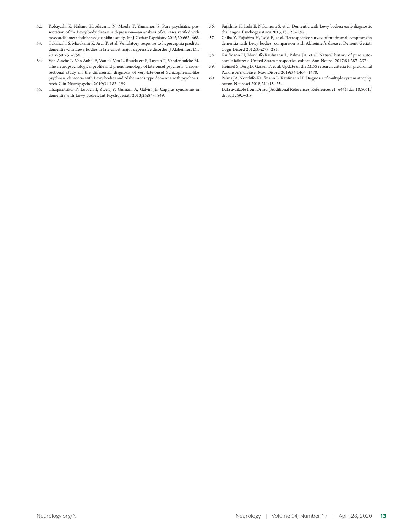- 52. Kobayashi K, Nakano H, Akiyama N, Maeda T, Yamamori S. Pure psychiatric presentation of the Lewy body disease is depression—an analysis of 60 cases verified with myocardial meta-iodobenzylguanidine study. Int J Geriatr Psychiatry 2015;30:663–668.
- 53. Takahashi S, Mizukami K, Arai T, et al. Ventilatory response to hypercapnia predicts dementia with Lewy bodies in late-onset major depressive disorder. J Alzheimers Dis 2016;50:751–758.
- 54. Van Assche L, Van Aubel E, Van de Ven L, Bouckaert F, Luyten P, Vandenbulcke M. The neuropsychological profile and phenomenology of late onset psychosis: a crosssectional study on the differential diagnosis of very-late-onset Schizophrenia-like psychosis, dementia with Lewy bodies and Alzheimer's type dementia with psychosis. Arch Clin Neuropsychol 2019;34:183–199.
- 55. Thaipisuttikul P, Lobach I, Zweig Y, Gurnani A, Galvin JE. Capgras syndrome in dementia with Lewy bodies. Int Psychogeriatr 2013;25:843–849.
- 56. Fujishiro H, Iseki E, Nakamura S, et al. Dementia with Lewy bodies: early diagnostic challenges. Psychogeriatrics 2013;13:128–138.
- 57. Chiba Y, Fujishiro H, Iseki E, et al. Retrospective survey of prodromal symptoms in dementia with Lewy bodies: comparison with Alzheimer's disease. Dement Geriatr Cogn Disord 2012;33:273–281.
- 58. Kaufmann H, Norcliffe-Kaufmann L, Palma JA, et al. Natural history of pure autonomic failure: a United States prospective cohort. Ann Neurol 2017;81:287–297.
- 59. Heinzel S, Berg D, Gasser T, et al. Update of the MDS research criteria for prodromal Parkinson's disease. Mov Disord 2019;34:1464–1470.
- 60. Palma JA, Norcliffe-Kaufmann L, Kaufmann H. Diagnosis of multiple system atrophy. Auton Neurosci 2018;211:15–25.
	- Data available from Dryad (Additional References, References e1–e44): [doi:10.5061/](https://doi:10.5061/dryad.1c59zw3rv) [dryad.1c59zw3rv](https://doi:10.5061/dryad.1c59zw3rv)